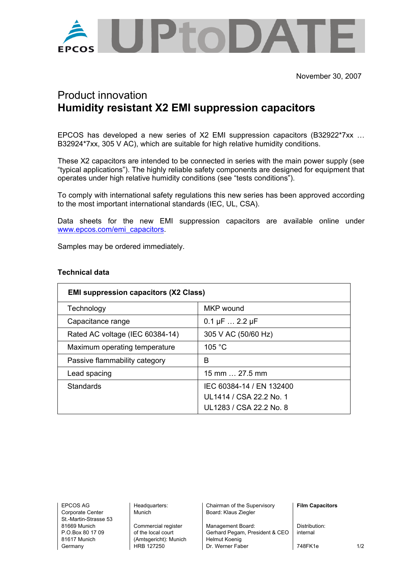

November 30, 2007

# Product innovation **Humidity resistant X2 EMI suppression capacitors**

EPCOS has developed a new series of X2 EMI suppression capacitors (B32922\*7xx … B32924\*7xx, 305 V AC), which are suitable for high relative humidity conditions.

These X2 capacitors are intended to be connected in series with the main power supply (see "typical applications"). The highly reliable safety components are designed for equipment that operates under high relative humidity conditions (see "tests conditions").

To comply with international safety regulations this new series has been approved according to the most important international standards (IEC, UL, CSA).

Data sheets for the new EMI suppression capacitors are available online under [www.epcos.com/emi\\_capacitors](http://www.epcos.com/emi_capacitors).

Samples may be ordered immediately.

| <b>EMI suppression capacitors (X2 Class)</b> |                                  |  |  |  |
|----------------------------------------------|----------------------------------|--|--|--|
| Technology                                   | MKP wound                        |  |  |  |
| Capacitance range                            | $0.1 \,\mu F \ldots 2.2 \,\mu F$ |  |  |  |
| Rated AC voltage (IEC 60384-14)              | 305 V AC (50/60 Hz)              |  |  |  |
| Maximum operating temperature                | 105 °C                           |  |  |  |
| Passive flammability category                | в                                |  |  |  |
| Lead spacing                                 | 15 mm $\dots$ 27.5 mm            |  |  |  |
| Standards                                    | IEC 60384-14 / EN 132400         |  |  |  |
|                                              | UL1414 / CSA 22.2 No. 1          |  |  |  |
|                                              | UL1283 / CSA 22.2 No. 8          |  |  |  |

## **Technical data**

Corporate Center Munich Nunich Board: Klaus Ziegler St.-Martin-Strasse 53

81617 Munich (Amtsgericht): Munich Helmut Koenig

EPCOS AG Headquarters: Chairman of the Supervisory **Film Capacitors** 

81669 Munich Commercial register Management Board: Distribution:<br>
P O Box 80 17 09 of the local court Gerhard Pegam President & CFO internal of the local court **Gerhard Pegam, President & CEO** Germany **HRB 127250** Dr. Werner Faber 748FK1e 1/2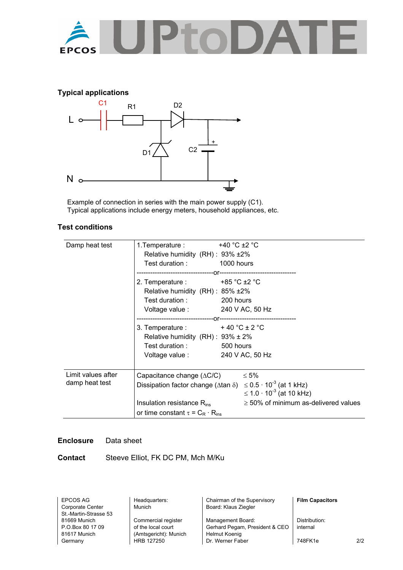

## **Typical applications**



Example of connection in series with the main power supply (C1). Typical applications include energy meters, household appliances, etc.

### **Test conditions**

| Damp heat test     | 1. Temperature : $+40 °C \pm 2 °C$<br>Relative humidity $(RH)$ : 93% $\pm 2\%$<br>Test duration : 1000 hours |                                                                                                    |  |  |  |
|--------------------|--------------------------------------------------------------------------------------------------------------|----------------------------------------------------------------------------------------------------|--|--|--|
|                    |                                                                                                              |                                                                                                    |  |  |  |
|                    | 2. Temperature : $+85 \degree C \pm 2 \degree C$                                                             |                                                                                                    |  |  |  |
|                    | Relative humidity (RH): 85% ±2%                                                                              |                                                                                                    |  |  |  |
|                    | Test duration: 200 hours                                                                                     |                                                                                                    |  |  |  |
|                    | Voltage value: 240 V AC, 50 Hz                                                                               |                                                                                                    |  |  |  |
|                    |                                                                                                              |                                                                                                    |  |  |  |
|                    | 3. Temperature : $+40^{\circ}C \pm 2^{\circ}C$                                                               |                                                                                                    |  |  |  |
|                    | Relative humidity $(RH)$ : 93% $\pm$ 2%                                                                      |                                                                                                    |  |  |  |
|                    | Test duration: 500 hours                                                                                     |                                                                                                    |  |  |  |
|                    | Voltage value: 240 V AC, 50 Hz                                                                               |                                                                                                    |  |  |  |
|                    |                                                                                                              |                                                                                                    |  |  |  |
| Limit values after | Capacitance change $(\Delta C/C)$                                                                            | $\leq 5\%$                                                                                         |  |  |  |
| damp heat test     |                                                                                                              | Dissipation factor change ( $\Delta$ tan $\delta$ ) $\leq$ 0.5 $\cdot$ 10 <sup>-3</sup> (at 1 kHz) |  |  |  |
|                    |                                                                                                              | $\leq$ 1.0 ⋅ 10 <sup>-3</sup> (at 10 kHz)                                                          |  |  |  |
|                    | Insulation resistance $R_{ins}$                                                                              | $\geq$ 50% of minimum as-delivered values                                                          |  |  |  |
|                    | or time constant $\tau = C_R \cdot R_{ins}$                                                                  |                                                                                                    |  |  |  |

### **Enclosure** Data sheet

**Contact** Steeve Elliot, FK DC PM, Mch M/Ku

Corporate Center | Munich | Board: Klaus Ziegler St.-Martin-Strasse 53

81617 Munich (Amtsgericht): Munich Helmut Koenig<br>Germany HRB 127250 Dr. Werner Fab

EPCOS AG **Headquarters:** Corporate Center **Film Capacitors Film Capacitors Corporate Center Munich 8 Headquarters E Board:** Klaus Ziegler

81669 Munich Commercial register Management Board: Distribution: P.O.Box 80 17 09 of the local court Gerhard Pegam, President & CEO internal Germany HRB 127250 Dr. Werner Faber 748FK1e 2/2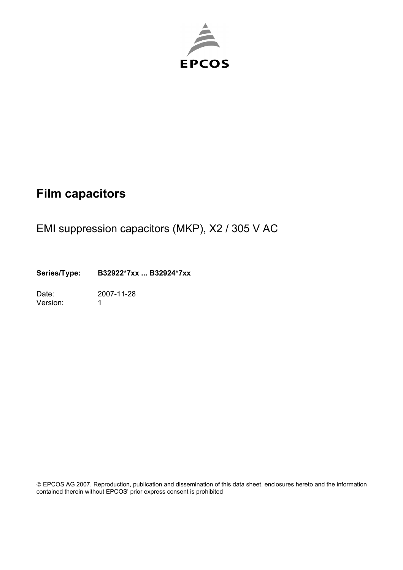

# EMI suppression capacitors (MKP), X2 / 305 V AC

**Series/Type: B32922\*7xx ... B32924\*7xx** 

Date: 2007-11-28 Version: 1

© EPCOS AG 2007. Reproduction, publication and dissemination of this data sheet, enclosures hereto and the information contained therein without EPCOS' prior express consent is prohibited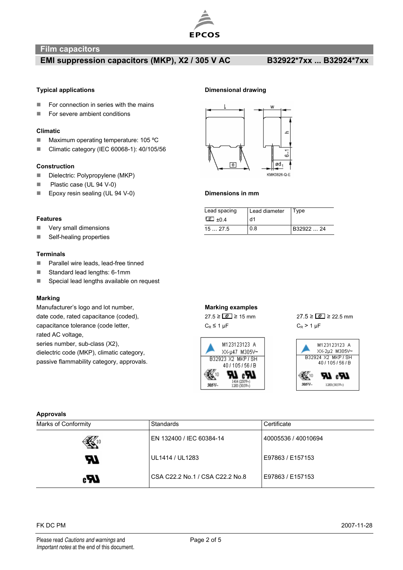

# **EMI suppression capacitors (MKP), X2 / 305 V AC B32922\*7xx ... B32924\*7xx**

- $\blacksquare$  For connection in series with the mains
- For severe ambient conditions

#### **Climatic**

- Maximum operating temperature: 105 °C
- Climatic category (IEC 60068-1): 40/105/56

#### **Construction**

- Dielectric: Polypropylene (MKP)
- Plastic case (UL 94 V-0)
- Epoxy resin sealing (UL 94 V-0) **Dimensions in mm**

### **Features**

- **Very small dimensions**
- Self-healing properties

#### **Terminals**

- **Parallel wire leads, lead-free tinned**
- Standard lead lengths: 6-1mm
- Special lead lengths available on request

#### **Marking**

Manufacturer's logo and lot number, **Manufacturer's logo and lot number**, date code, rated capacitance (coded), 27.5 ≥  $\boxed{e}$  ≥ 15 mm 27.5 ≥  $\boxed{e}$  ≥ 22.5 mm capacitance tolerance (code letter,  $C_R \le 1 \text{ }\mu\text{F}$  G<sub>R</sub>  $> 1 \text{ }\mu\text{F}$  G<sub>R</sub>  $> 1 \text{ }\mu\text{F}$ rated AC voltage, series number, sub-class (X2), dielectric code (MKP), climatic category, passive flammability category, approvals.

#### **Typical applications Dimensional drawing**



| Lead spacing      | Lead diameter | Type       |
|-------------------|---------------|------------|
| $\boxed{e}$ + 0.4 | d1            |            |
| 1527.5            | 0.8           | B32922  24 |





#### **Approvals**

| Marks of Conformity | Standards                       | Certificate         |  |
|---------------------|---------------------------------|---------------------|--|
| 夜                   | EN 132400 / IEC 60384-14        | 40005536 / 40010694 |  |
| Ы                   | UL1414 / UL1283                 | E97863 / E157153    |  |
| cH4                 | CSA C22.2 No.1 / CSA C22.2 No.8 | E97863 / E157153    |  |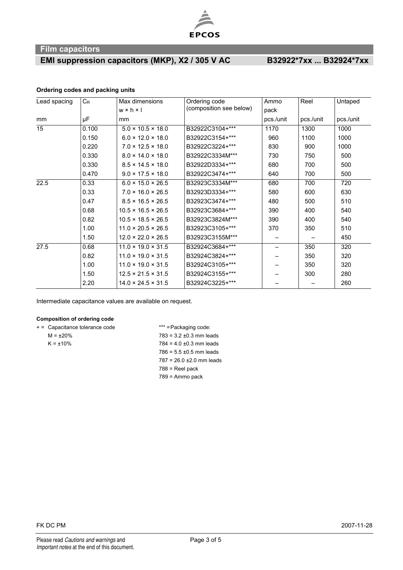

# **EMI suppression capacitors (MKP), X2 / 305 V AC B32922\*7xx ... B32924\*7xx**

### **Ordering codes and packing units**

| Lead spacing    | $C_R$ | Max dimensions                 | Ordering code           | Ammo      | Reel      | Untaped   |
|-----------------|-------|--------------------------------|-------------------------|-----------|-----------|-----------|
|                 |       | $w \times h \times l$          | (composition see below) | pack      |           |           |
| mm              | μF    | mm                             |                         | pcs./unit | pcs./unit | pcs./unit |
| $\overline{15}$ | 0.100 | $5.0 \times 10.5 \times 18.0$  | B32922C3104+***         | 1170      | 1300      | 1000      |
|                 | 0.150 | $6.0 \times 12.0 \times 18.0$  | B32922C3154+***         | 960       | 1100      | 1000      |
|                 | 0.220 | $7.0 \times 12.5 \times 18.0$  | B32922C3224+***         | 830       | 900       | 1000      |
|                 | 0.330 | $8.0 \times 14.0 \times 18.0$  | B32922C3334M***         | 730       | 750       | 500       |
|                 | 0.330 | $8.5 \times 14.5 \times 18.0$  | B32922D3334+***         | 680       | 700       | 500       |
|                 | 0.470 | $9.0 \times 17.5 \times 18.0$  | B32922C3474+***         | 640       | 700       | 500       |
| 22.5            | 0.33  | $6.0 \times 15.0 \times 26.5$  | B32923C3334M***         | 680       | 700       | 720       |
|                 | 0.33  | $7.0 \times 16.0 \times 26.5$  | B32923D3334+***         | 580       | 600       | 630       |
|                 | 0.47  | $8.5 \times 16.5 \times 26.5$  | B32923C3474+***         | 480       | 500       | 510       |
|                 | 0.68  | $10.5 \times 16.5 \times 26.5$ | B32923C3684+***         | 390       | 400       | 540       |
|                 | 0.82  | $10.5 \times 18.5 \times 26.5$ | B32923C3824M***         | 390       | 400       | 540       |
|                 | 1.00  | $11.0 \times 20.5 \times 26.5$ | B32923C3105+***         | 370       | 350       | 510       |
|                 | 1.50  | $12.0 \times 22.0 \times 26.5$ | B32923C3155M***         |           |           | 450       |
| 27.5            | 0.68  | $11.0 \times 19.0 \times 31.5$ | B32924C3684+***         |           | 350       | 320       |
|                 | 0.82  | $11.0 \times 19.0 \times 31.5$ | B32924C3824+***         |           | 350       | 320       |
|                 | 1.00  | $11.0 \times 19.0 \times 31.5$ | B32924C3105+***         |           | 350       | 320       |
|                 | 1.50  | $12.5 \times 21.5 \times 31.5$ | B32924C3155+***         |           | 300       | 280       |
|                 | 2.20  | $14.0 \times 24.5 \times 31.5$ | B32924C3225+***         |           |           | 260       |

Intermediate capacitance values are available on request.

#### **Composition of ordering code**

| + = Capacitance tolerance code | *** = Packaging code: |
|--------------------------------|-----------------------|
|                                |                       |

 $M = \pm 20\%$  783 = 3.2  $\pm 0.3$  mm leads  $K = \pm 10\%$  784 = 4.0  $\pm 0.3$  mm leads  $786 = 5.5 \pm 0.5$  mm leads 787 = 26.0 ±2.0 mm leads 788 = Reel pack 789 = Ammo pack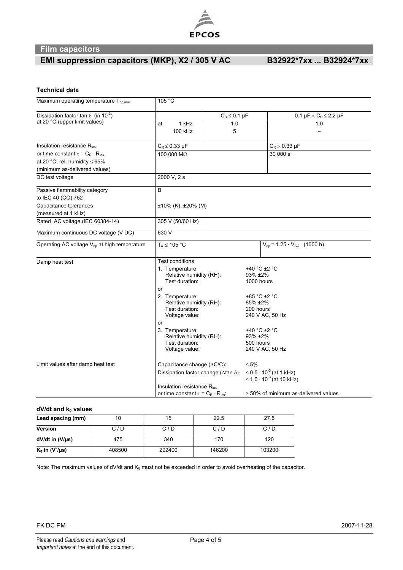

# **EMI suppression capacitors (MKP), X2 / 305 V AC B32922\*7xx ... B32924\*7xx**

### **Technical data**

| Maximum operating temperature T <sub>op.max</sub>        | 105 °C                                                                   |                                                      |                                       |                                                 |  |  |
|----------------------------------------------------------|--------------------------------------------------------------------------|------------------------------------------------------|---------------------------------------|-------------------------------------------------|--|--|
| Dissipation factor tan $\delta$ (in 10 <sup>-3</sup> )   |                                                                          | $C_R \leq 0.1 \mu F$                                 |                                       | 0.1 $\mu$ F < C <sub>R</sub> $\leq$ 2.2 $\mu$ F |  |  |
| at 20 °C (upper limit values)                            | 1 kHz<br>at<br>100 kHz                                                   | 1.0<br>5                                             |                                       | 1.0                                             |  |  |
| Insulation resistance Rins                               | $C_R \leq 0.33 \mu F$                                                    |                                                      |                                       | $C_R$ > 0.33 µF                                 |  |  |
| or time constant $\tau = C_R \cdot R_{ins}$              | 100 000 MΩ                                                               |                                                      |                                       | 30 000 s                                        |  |  |
| at 20 °C, rel. humidity $\leq 65\%$                      |                                                                          |                                                      |                                       |                                                 |  |  |
| (minimum as-delivered values)                            |                                                                          |                                                      |                                       |                                                 |  |  |
| DC test voltage                                          | 2000 V, 2 s                                                              |                                                      |                                       |                                                 |  |  |
| Passive flammability category                            | B                                                                        |                                                      |                                       |                                                 |  |  |
| to IEC 40 (CO) 752                                       |                                                                          |                                                      |                                       |                                                 |  |  |
| Capacitance tolerances<br>(measured at 1 kHz)            | $\pm 10\%$ (K), $\pm 20\%$ (M)                                           |                                                      |                                       |                                                 |  |  |
| Rated AC voltage (IEC 60384-14)                          | 305 V (50/60 Hz)                                                         |                                                      |                                       |                                                 |  |  |
| Maximum continuous DC voltage (V DC)                     | 630 V                                                                    |                                                      |                                       |                                                 |  |  |
| Operating AC voltage V <sub>op</sub> at high temperature | $T_A \leq 105 °C$                                                        |                                                      |                                       | $V_{op}$ = 1.25 $\cdot$ $V_{AC}$ (1000 h)       |  |  |
| Damp heat test                                           | <b>Test conditions</b>                                                   |                                                      |                                       |                                                 |  |  |
|                                                          | 1. Temperature:<br>Relative humidity (RH):<br>Test duration:             |                                                      | +40 °C ±2 °C<br>93% ±2%<br>1000 hours |                                                 |  |  |
|                                                          | or                                                                       |                                                      |                                       |                                                 |  |  |
|                                                          | 2. Temperature:                                                          |                                                      |                                       | +85 °C ±2 °C                                    |  |  |
|                                                          | Relative humidity (RH):                                                  |                                                      | 85% ±2%                               |                                                 |  |  |
|                                                          | Test duration:<br>Voltage value:                                         |                                                      | 200 hours<br>240 V AC, 50 Hz          |                                                 |  |  |
|                                                          | or                                                                       |                                                      |                                       |                                                 |  |  |
|                                                          | 3. Temperature:                                                          |                                                      | +40 °C ±2 °C                          |                                                 |  |  |
|                                                          | Relative humidity (RH):                                                  |                                                      | 93% ±2%                               |                                                 |  |  |
|                                                          | Test duration:<br>Voltage value:                                         |                                                      | 500 hours<br>240 V AC, 50 Hz          |                                                 |  |  |
| Limit values after damp heat test                        | Capacitance change (AC/C):                                               |                                                      | $\leq 5\%$                            |                                                 |  |  |
|                                                          |                                                                          | Dissipation factor change ( $\Delta$ tan $\delta$ ): |                                       | ≤ 0.5 $\cdot$ 10 <sup>-3</sup> (at 1 kHz)       |  |  |
|                                                          | ≤ 1.0 $\cdot$ 10 <sup>-3</sup> (at 10 kHz)<br>Insulation resistance Rins |                                                      |                                       |                                                 |  |  |
|                                                          | or time constant $\tau = C_R \cdot R_{ins}$ :                            |                                                      |                                       | $\geq$ 50% of minimum as-delivered values       |  |  |

### dV/dt and k<sub>0</sub> values

| Lead spacing (mm)      | ıυ     | 15     | 22.5   | 27.5   |
|------------------------|--------|--------|--------|--------|
| <b>Version</b>         | C/D    | C / D  | C/D    | C/D    |
| $dV/dt$ in $(V/\mu s)$ | 475    | 340    | 170    | 120    |
| $K_0$ in $(V^2/\mu s)$ | 408500 | 292400 | 146200 | 103200 |

Note: The maximum values of dV/dt and  $K_0$  must not be exceeded in order to avoid overheating of the capacitor.